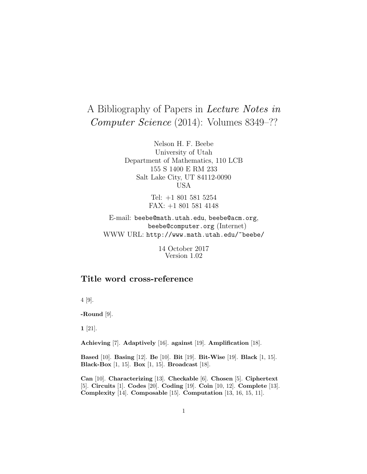# A Bibliography of Papers in Lecture Notes in Computer Science (2014): Volumes 8349–??

Nelson H. F. Beebe University of Utah Department of Mathematics, 110 LCB 155 S 1400 E RM 233 Salt Lake City, UT 84112-0090 USA

> Tel: +1 801 581 5254 FAX: +1 801 581 4148

E-mail: beebe@math.utah.edu, beebe@acm.org, beebe@computer.org (Internet) WWW URL: http://www.math.utah.edu/~beebe/

> 14 October 2017 Version 1.02

# **Title word cross-reference**

4 [9].

**-Round** [9].

**1** [21].

**Achieving** [7]. **Adaptively** [16]. **against** [19]. **Amplification** [18].

**Based** [10]. **Basing** [12]. **Be** [10]. **Bit** [19]. **Bit-Wise** [19]. **Black** [1, 15]. **Black-Box** [1, 15]. **Box** [1, 15]. **Broadcast** [18].

**Can** [10]. **Characterizing** [13]. **Checkable** [6]. **Chosen** [5]. **Ciphertext** [5]. **Circuits** [1]. **Codes** [20]. **Coding** [19]. **Coin** [10, 12]. **Complete** [13]. **Complexity** [14]. **Composable** [15]. **Computation** [13, 16, 15, 11].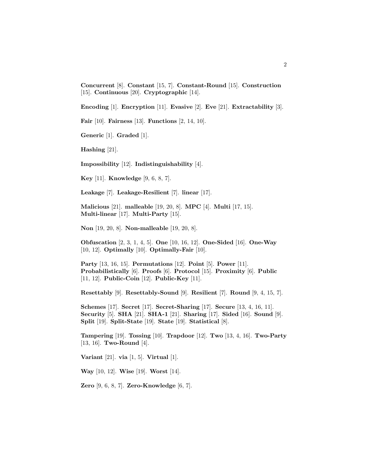**Concurrent** [8]. **Constant** [15, 7]. **Constant-Round** [15]. **Construction** [15]. **Continuous** [20]. **Cryptographic** [14].

**Encoding** [1]. **Encryption** [11]. **Evasive** [2]. **Eve** [21]. **Extractability** [3].

**Fair** [10]. **Fairness** [13]. **Functions** [2, 14, 10].

**Generic** [1]. **Graded** [1].

**Hashing** [21].

**Impossibility** [12]. **Indistinguishability** [4].

**Key** [11]. **Knowledge** [9, 6, 8, 7].

**Leakage** [7]. **Leakage-Resilient** [7]. **linear** [17].

**Malicious** [21]. **malleable** [19, 20, 8]. **MPC** [4]. **Multi** [17, 15]. **Multi-linear** [17]. **Multi-Party** [15].

**Non** [19, 20, 8]. **Non-malleable** [19, 20, 8].

**Obfuscation** [2, 3, 1, 4, 5]. **One** [10, 16, 12]. **One-Sided** [16]. **One-Way** [10, 12]. **Optimally** [10]. **Optimally-Fair** [10].

**Party** [13, 16, 15]. **Permutations** [12]. **Point** [5]. **Power** [11]. **Probabilistically** [6]. **Proofs** [6]. **Protocol** [15]. **Proximity** [6]. **Public** [11, 12]. **Public-Coin** [12]. **Public-Key** [11].

**Resettably** [9]. **Resettably-Sound** [9]. **Resilient** [7]. **Round** [9, 4, 15, 7].

**Schemes** [17]. **Secret** [17]. **Secret-Sharing** [17]. **Secure** [13, 4, 16, 11]. **Security** [5]. **SHA** [21]. **SHA-1** [21]. **Sharing** [17]. **Sided** [16]. **Sound** [9]. **Split** [19]. **Split-State** [19]. **State** [19]. **Statistical** [8].

**Tampering** [19]. **Tossing** [10]. **Trapdoor** [12]. **Two** [13, 4, 16]. **Two-Party** [13, 16]. **Two-Round** [4].

**Variant** [21]. **via** [1, 5]. **Virtual** [1].

**Way** [10, 12]. **Wise** [19]. **Worst** [14].

**Zero** [9, 6, 8, 7]. **Zero-Knowledge** [6, 7].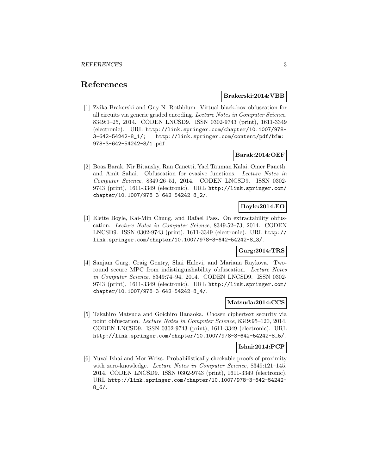# **References**

#### **Brakerski:2014:VBB**

[1] Zvika Brakerski and Guy N. Rothblum. Virtual black-box obfuscation for all circuits via generic graded encoding. Lecture Notes in Computer Science, 8349:1–25, 2014. CODEN LNCSD9. ISSN 0302-9743 (print), 1611-3349 (electronic). URL http://link.springer.com/chapter/10.1007/978- 3-642-54242-8\_1/; http://link.springer.com/content/pdf/bfm: 978-3-642-54242-8/1.pdf.

#### **Barak:2014:OEF**

[2] Boaz Barak, Nir Bitansky, Ran Canetti, Yael Tauman Kalai, Omer Paneth, and Amit Sahai. Obfuscation for evasive functions. Lecture Notes in Computer Science, 8349:26–51, 2014. CODEN LNCSD9. ISSN 0302- 9743 (print), 1611-3349 (electronic). URL http://link.springer.com/ chapter/10.1007/978-3-642-54242-8\_2/.

# **Boyle:2014:EO**

[3] Elette Boyle, Kai-Min Chung, and Rafael Pass. On extractability obfuscation. Lecture Notes in Computer Science, 8349:52–73, 2014. CODEN LNCSD9. ISSN 0302-9743 (print), 1611-3349 (electronic). URL http:// link.springer.com/chapter/10.1007/978-3-642-54242-8\_3/.

#### **Garg:2014:TRS**

[4] Sanjam Garg, Craig Gentry, Shai Halevi, and Mariana Raykova. Tworound secure MPC from indistinguishability obfuscation. Lecture Notes in Computer Science, 8349:74–94, 2014. CODEN LNCSD9. ISSN 0302- 9743 (print), 1611-3349 (electronic). URL http://link.springer.com/ chapter/10.1007/978-3-642-54242-8\_4/.

#### **Matsuda:2014:CCS**

[5] Takahiro Matsuda and Goichiro Hanaoka. Chosen ciphertext security via point obfuscation. Lecture Notes in Computer Science, 8349:95–120, 2014. CODEN LNCSD9. ISSN 0302-9743 (print), 1611-3349 (electronic). URL http://link.springer.com/chapter/10.1007/978-3-642-54242-8\_5/.

#### **Ishai:2014:PCP**

[6] Yuval Ishai and Mor Weiss. Probabilistically checkable proofs of proximity with zero-knowledge. Lecture Notes in Computer Science, 8349:121-145, 2014. CODEN LNCSD9. ISSN 0302-9743 (print), 1611-3349 (electronic). URL http://link.springer.com/chapter/10.1007/978-3-642-54242- 8\_6/.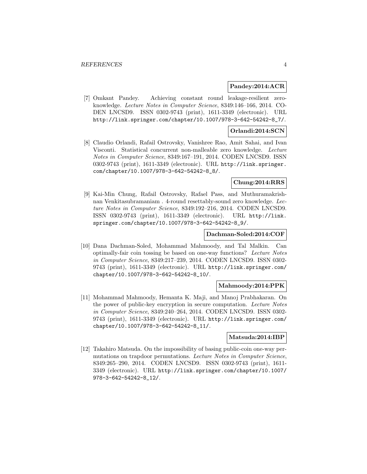#### **Pandey:2014:ACR**

[7] Omkant Pandey. Achieving constant round leakage-resilient zeroknowledge. Lecture Notes in Computer Science, 8349:146–166, 2014. CO-DEN LNCSD9. ISSN 0302-9743 (print), 1611-3349 (electronic). URL http://link.springer.com/chapter/10.1007/978-3-642-54242-8\_7/.

#### **Orlandi:2014:SCN**

[8] Claudio Orlandi, Rafail Ostrovsky, Vanishree Rao, Amit Sahai, and Ivan Visconti. Statistical concurrent non-malleable zero knowledge. Lecture Notes in Computer Science, 8349:167–191, 2014. CODEN LNCSD9. ISSN 0302-9743 (print), 1611-3349 (electronic). URL http://link.springer. com/chapter/10.1007/978-3-642-54242-8\_8/.

#### **Chung:2014:RRS**

[9] Kai-Min Chung, Rafail Ostrovsky, Rafael Pass, and Muthuramakrishnan Venkitasubramaniam . 4-round resettably-sound zero knowledge. Lecture Notes in Computer Science, 8349:192–216, 2014. CODEN LNCSD9. ISSN 0302-9743 (print), 1611-3349 (electronic). URL http://link. springer.com/chapter/10.1007/978-3-642-54242-8\_9/.

#### **Dachman-Soled:2014:COF**

[10] Dana Dachman-Soled, Mohammad Mahmoody, and Tal Malkin. Can optimally-fair coin tossing be based on one-way functions? Lecture Notes in Computer Science, 8349:217–239, 2014. CODEN LNCSD9. ISSN 0302- 9743 (print), 1611-3349 (electronic). URL http://link.springer.com/ chapter/10.1007/978-3-642-54242-8\_10/.

#### **Mahmoody:2014:PPK**

[11] Mohammad Mahmoody, Hemanta K. Maji, and Manoj Prabhakaran. On the power of public-key encryption in secure computation. Lecture Notes in Computer Science, 8349:240–264, 2014. CODEN LNCSD9. ISSN 0302- 9743 (print), 1611-3349 (electronic). URL http://link.springer.com/ chapter/10.1007/978-3-642-54242-8\_11/.

#### **Matsuda:2014:IBP**

[12] Takahiro Matsuda. On the impossibility of basing public-coin one-way permutations on trapdoor permutations. Lecture Notes in Computer Science, 8349:265–290, 2014. CODEN LNCSD9. ISSN 0302-9743 (print), 1611- 3349 (electronic). URL http://link.springer.com/chapter/10.1007/ 978-3-642-54242-8\_12/.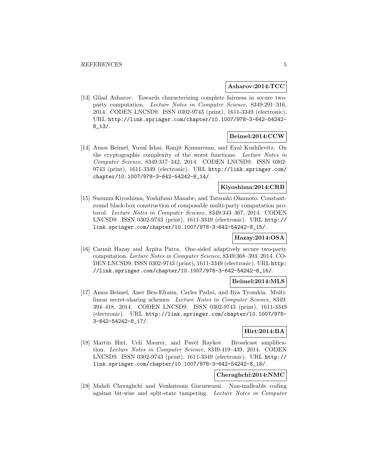#### **Asharov:2014:TCC**

[13] Gilad Asharov. Towards characterizing complete fairness in secure twoparty computation. Lecture Notes in Computer Science, 8349:291–316, 2014. CODEN LNCSD9. ISSN 0302-9743 (print), 1611-3349 (electronic). URL http://link.springer.com/chapter/10.1007/978-3-642-54242- 8\_13/.

#### **Beimel:2014:CCW**

[14] Amos Beimel, Yuval Ishai, Ranjit Kumaresan, and Eyal Kushilevitz. On the cryptographic complexity of the worst functions. Lecture Notes in Computer Science, 8349:317–342, 2014. CODEN LNCSD9. ISSN 0302- 9743 (print), 1611-3349 (electronic). URL http://link.springer.com/ chapter/10.1007/978-3-642-54242-8\_14/.

#### **Kiyoshima:2014:CRB**

[15] Susumu Kiyoshima, Yoshifumi Manabe, and Tatsuaki Okamoto. Constantround black-box construction of composable multi-party computation protocol. Lecture Notes in Computer Science, 8349:343–367, 2014. CODEN LNCSD9. ISSN 0302-9743 (print), 1611-3349 (electronic). URL http:// link.springer.com/chapter/10.1007/978-3-642-54242-8\_15/.

## **Hazay:2014:OSA**

[16] Carmit Hazay and Arpita Patra. One-sided adaptively secure two-party computation. Lecture Notes in Computer Science, 8349:368–393, 2014. CO-DEN LNCSD9. ISSN 0302-9743 (print), 1611-3349 (electronic). URL http: //link.springer.com/chapter/10.1007/978-3-642-54242-8\_16/.

#### **Beimel:2014:MLS**

[17] Amos Beimel, Aner Ben-Efraim, Carles Padró, and Ilya Tyomkin. Multilinear secret-sharing schemes. Lecture Notes in Computer Science, 8349: 394–418, 2014. CODEN LNCSD9. ISSN 0302-9743 (print), 1611-3349 (electronic). URL http://link.springer.com/chapter/10.1007/978- 3-642-54242-8\_17/.

#### **Hirt:2014:BA**

[18] Martin Hirt, Ueli Maurer, and Pavel Raykov. Broadcast amplification. Lecture Notes in Computer Science, 8349:419–439, 2014. CODEN LNCSD9. ISSN 0302-9743 (print), 1611-3349 (electronic). URL http:// link.springer.com/chapter/10.1007/978-3-642-54242-8\_18/.

# **Cheraghchi:2014:NMC**

[19] Mahdi Cheraghchi and Venkatesan Guruswami. Non-malleable coding against bit-wise and split-state tampering. Lecture Notes in Computer